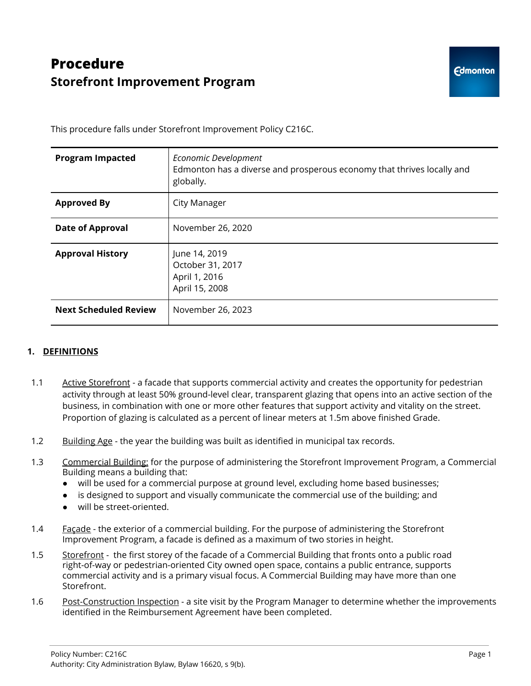# **Procedure Storefront Improvement Program**

This procedure falls under Storefront Improvement Policy C216C.

| <b>Program Impacted</b>      | Economic Development<br>Edmonton has a diverse and prosperous economy that thrives locally and<br>globally. |
|------------------------------|-------------------------------------------------------------------------------------------------------------|
| <b>Approved By</b>           | City Manager                                                                                                |
| <b>Date of Approval</b>      | November 26, 2020                                                                                           |
| <b>Approval History</b>      | June 14, 2019<br>October 31, 2017<br>April 1, 2016<br>April 15, 2008                                        |
| <b>Next Scheduled Review</b> | November 26, 2023                                                                                           |

# **1. DEFINITIONS**

- 1.1 Active Storefront a facade that supports commercial activity and creates the opportunity for pedestrian activity through at least 50% ground-level clear, transparent glazing that opens into an active section of the business, in combination with one or more other features that support activity and vitality on the street. Proportion of glazing is calculated as a percent of linear meters at 1.5m above finished Grade.
- 1.2 Building Age the year the building was built as identified in municipal tax records.
- 1.3 Commercial Building: for the purpose of administering the Storefront Improvement Program, a Commercial Building means a building that:
	- will be used for a commercial purpose at ground level, excluding home based businesses;
	- is designed to support and visually communicate the commercial use of the building; and
	- will be street-oriented.
- 1.4 Facade the exterior of a commercial building. For the purpose of administering the Storefront Improvement Program, a facade is defined as a maximum of two stories in height.
- 1.5 Storefront the first storey of the facade of a Commercial Building that fronts onto a public road right-of-way or pedestrian-oriented City owned open space, contains a public entrance, supports commercial activity and is a primary visual focus. A Commercial Building may have more than one Storefront.
- 1.6 Post-Construction Inspection a site visit by the Program Manager to determine whether the improvements identified in the Reimbursement Agreement have been completed.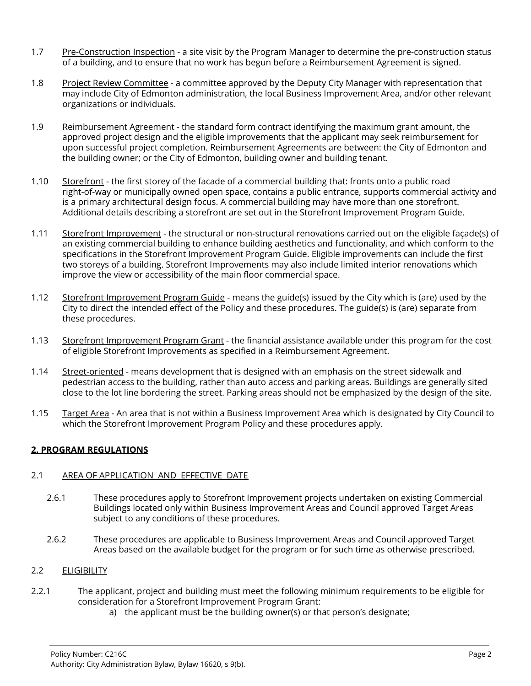- 1.7 Pre-Construction Inspection a site visit by the Program Manager to determine the pre-construction status of a building, and to ensure that no work has begun before a Reimbursement Agreement is signed.
- 1.8 Project Review Committee a committee approved by the Deputy City Manager with representation that may include City of Edmonton administration, the local Business Improvement Area, and/or other relevant organizations or individuals.
- 1.9 Reimbursement Agreement the standard form contract identifying the maximum grant amount, the approved project design and the eligible improvements that the applicant may seek reimbursement for upon successful project completion. Reimbursement Agreements are between: the City of Edmonton and the building owner; or the City of Edmonton, building owner and building tenant.
- 1.10 Storefront the first storey of the facade of a commercial building that: fronts onto a public road right-of-way or municipally owned open space, contains a public entrance, supports commercial activity and is a primary architectural design focus. A commercial building may have more than one storefront. Additional details describing a storefront are set out in the Storefront Improvement Program Guide.
- 1.11 Storefront Improvement the structural or non-structural renovations carried out on the eligible façade(s) of an existing commercial building to enhance building aesthetics and functionality, and which conform to the specifications in the Storefront Improvement Program Guide. Eligible improvements can include the first two storeys of a building. Storefront Improvements may also include limited interior renovations which improve the view or accessibility of the main floor commercial space.
- 1.12 Storefront Improvement Program Guide means the guide(s) issued by the City which is (are) used by the City to direct the intended effect of the Policy and these procedures. The guide(s) is (are) separate from these procedures.
- 1.13 Storefront Improvement Program Grant the financial assistance available under this program for the cost of eligible Storefront Improvements as specified in a Reimbursement Agreement.
- 1.14 Street-oriented means development that is designed with an emphasis on the street sidewalk and pedestrian access to the building, rather than auto access and parking areas. Buildings are generally sited close to the lot line bordering the street. Parking areas should not be emphasized by the design of the site.
- 1.15 Target Area An area that is not within a Business Improvement Area which is designated by City Council to which the Storefront Improvement Program Policy and these procedures apply.

# **2. PROGRAM REGULATIONS**

# 2.1 AREA OF APPLICATION AND EFFECTIVE DATE

- 2.6.1 These procedures apply to Storefront Improvement projects undertaken on existing Commercial Buildings located only within Business Improvement Areas and Council approved Target Areas subject to any conditions of these procedures.
- 2.6.2 These procedures are applicable to Business Improvement Areas and Council approved Target Areas based on the available budget for the program or for such time as otherwise prescribed.

## 2.2 ELIGIBILITY

- 2.2.1 The applicant, project and building must meet the following minimum requirements to be eligible for consideration for a Storefront Improvement Program Grant:
	- a) the applicant must be the building owner(s) or that person's designate;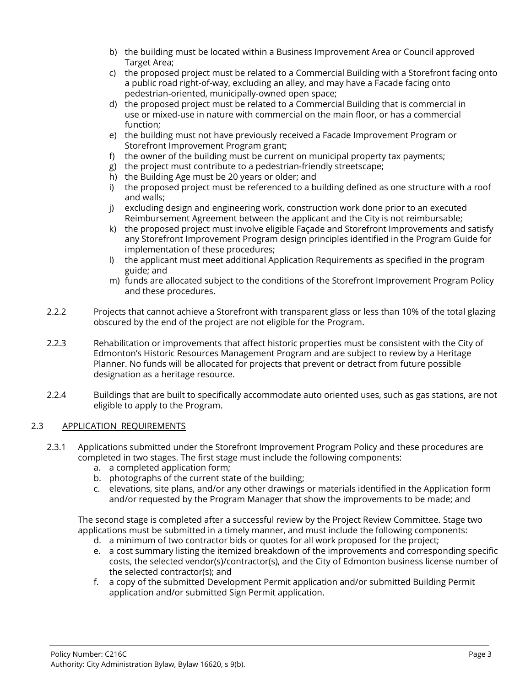- b) the building must be located within a Business Improvement Area or Council approved Target Area;
- c) the proposed project must be related to a Commercial Building with a Storefront facing onto a public road right-of-way, excluding an alley, and may have a Facade facing onto pedestrian-oriented, municipally-owned open space;
- d) the proposed project must be related to a Commercial Building that is commercial in use or mixed-use in nature with commercial on the main floor, or has a commercial function;
- e) the building must not have previously received a Facade Improvement Program or Storefront Improvement Program grant;
- f) the owner of the building must be current on municipal property tax payments;
- g) the project must contribute to a pedestrian-friendly streetscape;
- h) the Building Age must be 20 years or older; and
- i) the proposed project must be referenced to a building defined as one structure with a roof and walls;
- j) excluding design and engineering work, construction work done prior to an executed Reimbursement Agreement between the applicant and the City is not reimbursable;
- k) the proposed project must involve eligible Façade and Storefront Improvements and satisfy any Storefront Improvement Program design principles identified in the Program Guide for implementation of these procedures;
- l) the applicant must meet additional Application Requirements as specified in the program guide; and
- m) funds are allocated subject to the conditions of the Storefront Improvement Program Policy and these procedures.
- 2.2.2 Projects that cannot achieve a Storefront with transparent glass or less than 10% of the total glazing obscured by the end of the project are not eligible for the Program.
- 2.2.3 Rehabilitation or improvements that affect historic properties must be consistent with the City of Edmonton's Historic Resources Management Program and are subject to review by a Heritage Planner. No funds will be allocated for projects that prevent or detract from future possible designation as a heritage resource.
- 2.2.4 Buildings that are built to specifically accommodate auto oriented uses, such as gas stations, are not eligible to apply to the Program.

# 2.3 APPLICATION REQUIREMENTS

- 2.3.1 Applications submitted under the Storefront Improvement Program Policy and these procedures are completed in two stages. The first stage must include the following components:
	- a. a completed application form;
	- b. photographs of the current state of the building;
	- c. elevations, site plans, and/or any other drawings or materials identified in the Application form and/or requested by the Program Manager that show the improvements to be made; and

The second stage is completed after a successful review by the Project Review Committee. Stage two applications must be submitted in a timely manner, and must include the following components:

- d. a minimum of two contractor bids or quotes for all work proposed for the project;
- e. a cost summary listing the itemized breakdown of the improvements and corresponding specific costs, the selected vendor(s)/contractor(s), and the City of Edmonton business license number of the selected contractor(s); and
- f. a copy of the submitted Development Permit application and/or submitted Building Permit application and/or submitted Sign Permit application.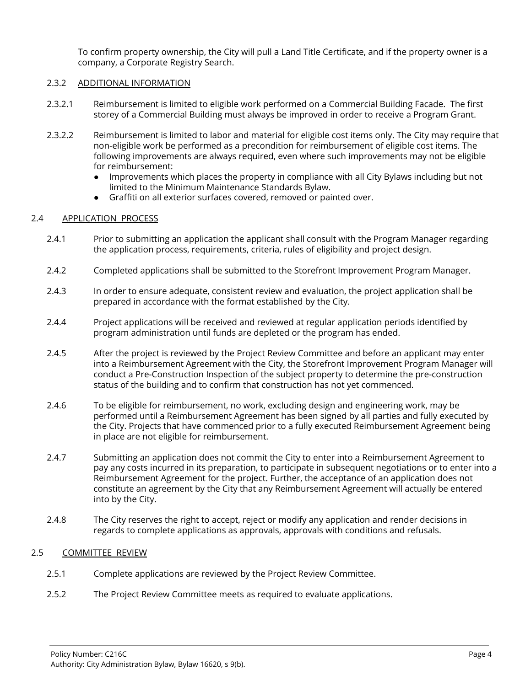To confirm property ownership, the City will pull a Land Title Certificate, and if the property owner is a company, a Corporate Registry Search.

## 2.3.2 ADDITIONAL INFORMATION

- 2.3.2.1 Reimbursement is limited to eligible work performed on a Commercial Building Facade. The first storey of a Commercial Building must always be improved in order to receive a Program Grant.
- 2.3.2.2 Reimbursement is limited to labor and material for eligible cost items only. The City may require that non-eligible work be performed as a precondition for reimbursement of eligible cost items. The following improvements are always required, even where such improvements may not be eligible for reimbursement:
	- Improvements which places the property in compliance with all City Bylaws including but not limited to the Minimum Maintenance Standards Bylaw.
	- Graffiti on all exterior surfaces covered, removed or painted over.

# 2.4 APPLICATION PROCESS

- 2.4.1 Prior to submitting an application the applicant shall consult with the Program Manager regarding the application process, requirements, criteria, rules of eligibility and project design.
- 2.4.2 Completed applications shall be submitted to the Storefront Improvement Program Manager.
- 2.4.3 In order to ensure adequate, consistent review and evaluation, the project application shall be prepared in accordance with the format established by the City.
- 2.4.4 Project applications will be received and reviewed at regular application periods identified by program administration until funds are depleted or the program has ended.
- 2.4.5 After the project is reviewed by the Project Review Committee and before an applicant may enter into a Reimbursement Agreement with the City, the Storefront Improvement Program Manager will conduct a Pre-Construction Inspection of the subject property to determine the pre-construction status of the building and to confirm that construction has not yet commenced.
- 2.4.6 To be eligible for reimbursement, no work, excluding design and engineering work, may be performed until a Reimbursement Agreement has been signed by all parties and fully executed by the City. Projects that have commenced prior to a fully executed Reimbursement Agreement being in place are not eligible for reimbursement.
- 2.4.7 Submitting an application does not commit the City to enter into a Reimbursement Agreement to pay any costs incurred in its preparation, to participate in subsequent negotiations or to enter into a Reimbursement Agreement for the project. Further, the acceptance of an application does not constitute an agreement by the City that any Reimbursement Agreement will actually be entered into by the City.
- 2.4.8 The City reserves the right to accept, reject or modify any application and render decisions in regards to complete applications as approvals, approvals with conditions and refusals.

# 2.5 COMMITTEE REVIEW

- 2.5.1 Complete applications are reviewed by the Project Review Committee.
- 2.5.2 The Project Review Committee meets as required to evaluate applications.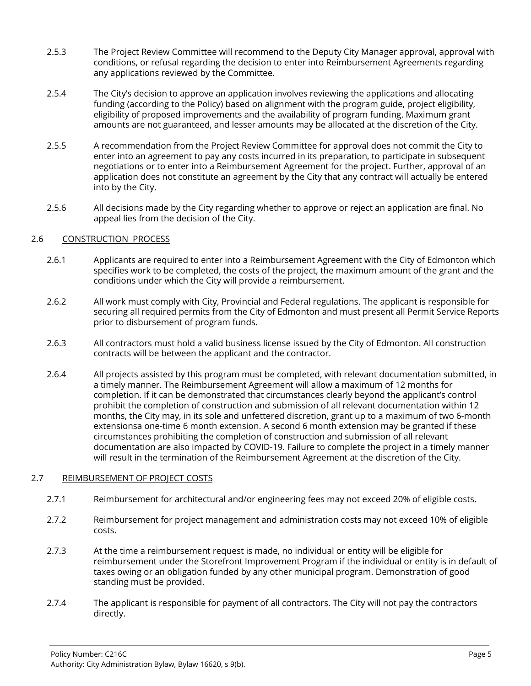- 2.5.3 The Project Review Committee will recommend to the Deputy City Manager approval, approval with conditions, or refusal regarding the decision to enter into Reimbursement Agreements regarding any applications reviewed by the Committee.
- 2.5.4 The City's decision to approve an application involves reviewing the applications and allocating funding (according to the Policy) based on alignment with the program guide, project eligibility, eligibility of proposed improvements and the availability of program funding. Maximum grant amounts are not guaranteed, and lesser amounts may be allocated at the discretion of the City.
- 2.5.5 A recommendation from the Project Review Committee for approval does not commit the City to enter into an agreement to pay any costs incurred in its preparation, to participate in subsequent negotiations or to enter into a Reimbursement Agreement for the project. Further, approval of an application does not constitute an agreement by the City that any contract will actually be entered into by the City.
- 2.5.6 All decisions made by the City regarding whether to approve or reject an application are final. No appeal lies from the decision of the City.

# 2.6 CONSTRUCTION PROCESS

- 2.6.1 Applicants are required to enter into a Reimbursement Agreement with the City of Edmonton which specifies work to be completed, the costs of the project, the maximum amount of the grant and the conditions under which the City will provide a reimbursement.
- 2.6.2 All work must comply with City, Provincial and Federal regulations. The applicant is responsible for securing all required permits from the City of Edmonton and must present all Permit Service Reports prior to disbursement of program funds.
- 2.6.3 All contractors must hold a valid business license issued by the City of Edmonton. All construction contracts will be between the applicant and the contractor.
- 2.6.4 All projects assisted by this program must be completed, with relevant documentation submitted, in a timely manner. The Reimbursement Agreement will allow a maximum of 12 months for completion. If it can be demonstrated that circumstances clearly beyond the applicant's control prohibit the completion of construction and submission of all relevant documentation within 12 months, the City may, in its sole and unfettered discretion, grant up to a maximum of two 6-month extensionsa one-time 6 month extension. A second 6 month extension may be granted if these circumstances prohibiting the completion of construction and submission of all relevant documentation are also impacted by COVID-19. Failure to complete the project in a timely manner will result in the termination of the Reimbursement Agreement at the discretion of the City.

## 2.7 REIMBURSEMENT OF PROJECT COSTS

- 2.7.1 Reimbursement for architectural and/or engineering fees may not exceed 20% of eligible costs.
- 2.7.2 Reimbursement for project management and administration costs may not exceed 10% of eligible costs.
- 2.7.3 At the time a reimbursement request is made, no individual or entity will be eligible for reimbursement under the Storefront Improvement Program if the individual or entity is in default of taxes owing or an obligation funded by any other municipal program. Demonstration of good standing must be provided.
- 2.7.4 The applicant is responsible for payment of all contractors. The City will not pay the contractors directly.